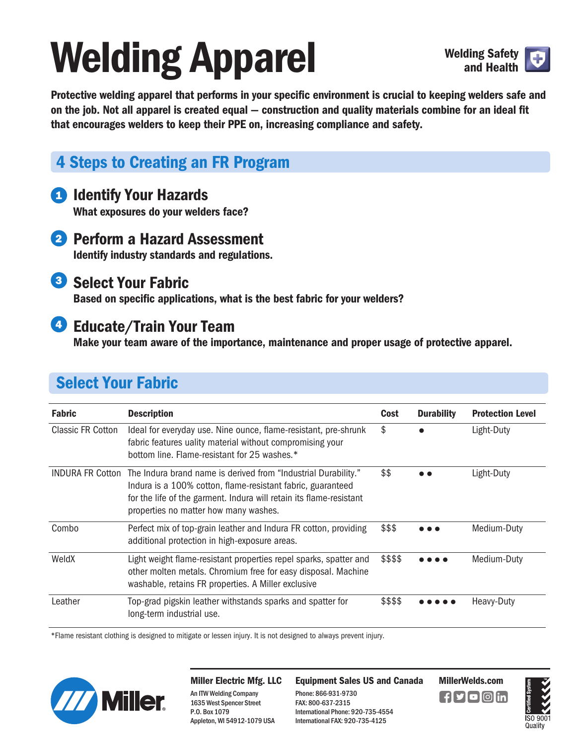# **Welding Apparel** Welding Safety



**Protective welding apparel that performs in your specific environment is crucial to keeping welders safe and on the job. Not all apparel is created equal — construction and quality materials combine for an ideal fit that encourages welders to keep their PPE on, increasing compliance and safety.** 

# **4 Steps to Creating an FR Program**

### **1** Identify Your Hazards

 **What exposures do your welders face?** 

2 Perform a Hazard Assessment  **Identify industry standards and regulations.** 

### **3** Select Your Fabric

 **Based on specific applications, what is the best fabric for your welders?** 

#### **<sup>4</sup>** Educate/Train Your Team

 **Make your team aware of the importance, maintenance and proper usage of protective apparel.**

# **Select Your Fabric**

| <b>Fabric</b>            | <b>Description</b>                                                                                                                                                                                                                                             | Cost     | <b>Durability</b> | <b>Protection Level</b> |
|--------------------------|----------------------------------------------------------------------------------------------------------------------------------------------------------------------------------------------------------------------------------------------------------------|----------|-------------------|-------------------------|
| <b>Classic FR Cotton</b> | Ideal for everyday use. Nine ounce, flame-resistant, pre-shrunk<br>fabric features uality material without compromising your<br>bottom line. Flame-resistant for 25 washes.*                                                                                   | \$       |                   | Light-Duty              |
|                          | INDURA FR Cotton The Indura brand name is derived from "Industrial Durability."<br>Indura is a 100% cotton, flame-resistant fabric, guaranteed<br>for the life of the garment. Indura will retain its flame-resistant<br>properties no matter how many washes. | \$\$     |                   | Light-Duty              |
| Combo                    | Perfect mix of top-grain leather and Indura FR cotton, providing<br>additional protection in high-exposure areas.                                                                                                                                              | \$\$\$   |                   | Medium-Duty             |
| WeldX                    | Light weight flame-resistant properties repel sparks, spatter and<br>other molten metals. Chromium free for easy disposal. Machine<br>washable, retains FR properties. A Miller exclusive                                                                      | \$\$\$\$ |                   | Medium-Duty             |
| Leather                  | Top-grad pigskin leather withstands sparks and spatter for<br>long-term industrial use.                                                                                                                                                                        | \$\$\$\$ |                   | Heavy-Duty              |

\*Flame resistant clothing is designed to mitigate or lessen injury. It is not designed to always prevent injury.



**Miller Electric Mfg. LLC**  An ITW Welding Company 1635 West Spencer Street P.O. Box 1079 Appleton, WI 54912-1079 USA

**Equipment Sales US and Canada MillerWelds.com**

Phone: 866-931-9730 FAX: 800-637-2315 International Phone: 920-735-4554 International FAX: 920-735-4125

 $\blacksquare$ f $\square$ f $\square$ o $\square$ in

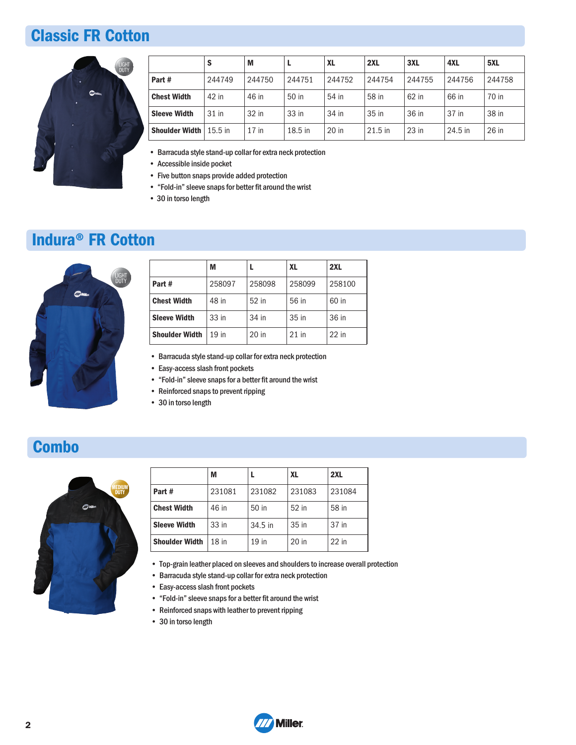## **Classic FR Cotton**



|                       | S         | M       |           | XL      | 2XL       | 3XL     | 4XL     | 5XL    |
|-----------------------|-----------|---------|-----------|---------|-----------|---------|---------|--------|
| Part #                | 244749    | 244750  | 244751    | 244752  | 244754    | 244755  | 244756  | 244758 |
| <b>Chest Width</b>    | 42 in     | 46 in   | 50 in     | 54 in   | 58 in     | 62 in   | 66 in   | 70 in  |
| <b>Sleeve Width</b>   | 31 in     | 32 in   | 33 in     | 34 in   | 35 in     | 36 in   | 37 in   | 38 in  |
| <b>Shoulder Width</b> | $15.5$ in | $17$ in | $18.5$ in | $20$ in | $21.5$ in | $23$ in | 24.5 in | 26 in  |

• Barracuda style stand-up collar for extra neck protection

- Accessible inside pocket
- Five button snaps provide added protection
- "Fold-in" sleeve snaps for better fit around the wrist
- 30 in torso length

### **Indura® FR Cotton**



|                       | M      |         | XL     | 2XL     |
|-----------------------|--------|---------|--------|---------|
| Part #                | 258097 | 258098  | 258099 | 258100  |
| <b>Chest Width</b>    | 48 in  | 52 in   | 56 in  | 60 in   |
| <b>Sleeve Width</b>   | 33 in  | 34 in   | 35 in  | 36 in   |
| <b>Shoulder Width</b> | 19 in  | $20$ in | 21 in  | $22$ in |
|                       |        |         |        |         |

• Barracuda style stand-up collar for extra neck protection

- Easy-access slash front pockets
- "Fold-in" sleeve snaps for a better fit around the wrist
- Reinforced snaps to prevent ripping
- 30 in torso length

## **Combo**



|                    | M       |                  | <b>XL</b> | 2XL     |
|--------------------|---------|------------------|-----------|---------|
| Part #             | 231081  | 231082           | 231083    | 231084  |
| <b>Chest Width</b> | 46 in   | 50 <sub>in</sub> | 52 in     | 58 in   |
| Sleeve Width       | 33 in   | 34.5 in          | 35 in     | 37 in   |
| Shoulder Width     | $18$ in | $19$ in          | $20$ in   | $22$ in |
|                    |         |                  |           |         |

- Top-grain leather placed on sleeves and shoulders to increase overall protection
- Barracuda style stand-up collar for extra neck protection
- Easy-access slash front pockets
- "Fold-in" sleeve snaps for a better fit around the wrist
- Reinforced snaps with leather to prevent ripping
- 30 in torso length